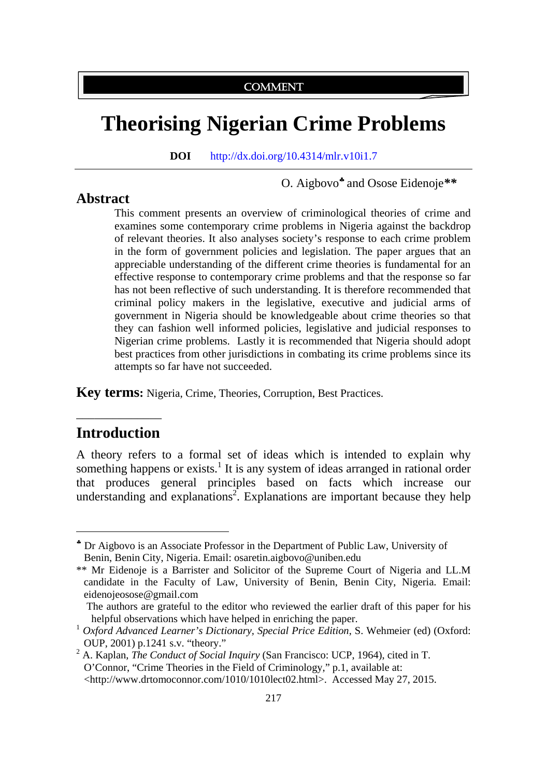#### **COMMENT**

# **Theorising Nigerian Crime Problems**

**DOI** http://dx.doi.org/10.4314/mlr.v10i1.7

O. Aigbovo<sup>\*</sup> and Osose Eidenoie\*\*

This comment presents an overview of criminological theories of crime and examines some contemporary crime problems in Nigeria against the backdrop of relevant theories. It also analyses society's response to each crime problem in the form of government policies and legislation. The paper argues that an appreciable understanding of the different crime theories is fundamental for an effective response to contemporary crime problems and that the response so far has not been reflective of such understanding. It is therefore recommended that criminal policy makers in the legislative, executive and judicial arms of government in Nigeria should be knowledgeable about crime theories so that they can fashion well informed policies, legislative and judicial responses to Nigerian crime problems. Lastly it is recommended that Nigeria should adopt best practices from other jurisdictions in combating its crime problems since its attempts so far have not succeeded.

**Key terms:** Nigeria, Crime, Theories, Corruption, Best Practices.

# \_\_\_\_\_\_\_\_\_\_\_\_\_\_ **Introduction**

-

A theory refers to a formal set of ideas which is intended to explain why something happens or exists.<sup>1</sup> It is any system of ideas arranged in rational order that produces general principles based on facts which increase our understanding and explanations<sup>2</sup>. Explanations are important because they help

## **Abstract**

Dr Aigbovo is an Associate Professor in the Department of Public Law, University of Benin, Benin City, Nigeria. Email: osaretin.aigbovo@uniben.edu

<sup>\*\*</sup> Mr Eidenoje is a Barrister and Solicitor of the Supreme Court of Nigeria and LL.M candidate in the Faculty of Law, University of Benin, Benin City, Nigeria. Email: eidenojeosose@gmail.com

The authors are grateful to the editor who reviewed the earlier draft of this paper for his helpful observations which have helped in enriching the paper.<br> *Oxford Advanced Learner's Dictionary, Special Price Edition*, S. Wehmeier (ed) (Oxford:

OUP, 2001) p.1241 s.v. "theory."<br> $^{2}$  A. Kaplan. The Conduct of Social

A. Kaplan, *The Conduct of Social Inquiry* (San Francisco: UCP, 1964), cited in T. O'Connor, "Crime Theories in the Field of Criminology," p.1, available at: <http://www.drtomoconnor.com/1010/1010lect02.html>. Accessed May 27, 2015.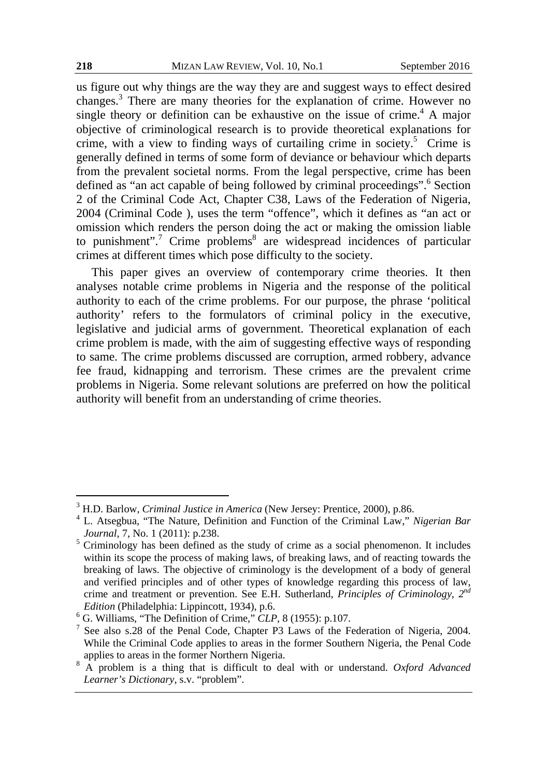us figure out why things are the way they are and suggest ways to effect desired changes.3 There are many theories for the explanation of crime. However no single theory or definition can be exhaustive on the issue of crime.<sup>4</sup> A major objective of criminological research is to provide theoretical explanations for crime, with a view to finding ways of curtailing crime in society.<sup>5</sup> Crime is generally defined in terms of some form of deviance or behaviour which departs from the prevalent societal norms. From the legal perspective, crime has been defined as "an act capable of being followed by criminal proceedings".<sup>6</sup> Section 2 of the Criminal Code Act, Chapter C38, Laws of the Federation of Nigeria, 2004 (Criminal Code ), uses the term "offence", which it defines as "an act or omission which renders the person doing the act or making the omission liable to punishment".<sup>7</sup> Crime problems<sup>8</sup> are widespread incidences of particular crimes at different times which pose difficulty to the society.

This paper gives an overview of contemporary crime theories. It then analyses notable crime problems in Nigeria and the response of the political authority to each of the crime problems. For our purpose, the phrase 'political authority' refers to the formulators of criminal policy in the executive, legislative and judicial arms of government. Theoretical explanation of each crime problem is made, with the aim of suggesting effective ways of responding to same. The crime problems discussed are corruption, armed robbery, advance fee fraud, kidnapping and terrorism. These crimes are the prevalent crime problems in Nigeria. Some relevant solutions are preferred on how the political authority will benefit from an understanding of crime theories.

<sup>&</sup>lt;sup>3</sup> H.D. Barlow, *Criminal Justice in America* (New Jersey: Prentice, 2000), p.86.

L. Atsegbua, "The Nature, Definition and Function of the Criminal Law," *Nigerian Bar Journal*, 7, No. 1 (2011): p.238.

 $5$  Criminology has been defined as the study of crime as a social phenomenon. It includes within its scope the process of making laws, of breaking laws, and of reacting towards the breaking of laws. The objective of criminology is the development of a body of general and verified principles and of other types of knowledge regarding this process of law, crime and treatment or prevention. See E.H. Sutherland, *Principles of Criminology, 2nd Edition* (Philadelphia: Lippincott, 1934), p.6.

 $<sup>6</sup>$  G. Williams, "The Definition of Crime," *CLP*, 8 (1955): p.107.</sup>

See also s.28 of the Penal Code, Chapter P3 Laws of the Federation of Nigeria, 2004. While the Criminal Code applies to areas in the former Southern Nigeria, the Penal Code applies to areas in the former Northern Nigeria.<br> $\frac{8}{9}$  A problem is a thing that is difficult to de

A problem is a thing that is difficult to deal with or understand. *Oxford Advanced Learner's Dictionary*, s.v. "problem".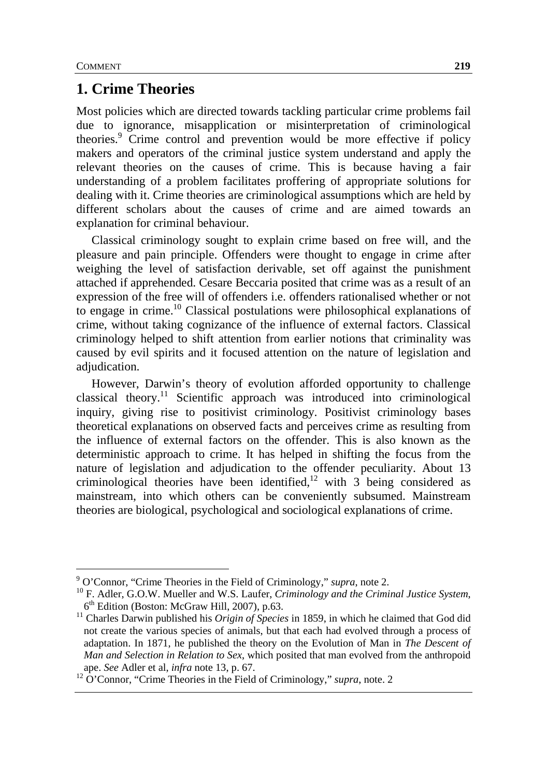-

## **1. Crime Theories**

Most policies which are directed towards tackling particular crime problems fail due to ignorance, misapplication or misinterpretation of criminological theories.<sup>9</sup> Crime control and prevention would be more effective if policy makers and operators of the criminal justice system understand and apply the relevant theories on the causes of crime. This is because having a fair understanding of a problem facilitates proffering of appropriate solutions for dealing with it. Crime theories are criminological assumptions which are held by different scholars about the causes of crime and are aimed towards an explanation for criminal behaviour.

Classical criminology sought to explain crime based on free will, and the pleasure and pain principle. Offenders were thought to engage in crime after weighing the level of satisfaction derivable, set off against the punishment attached if apprehended. Cesare Beccaria posited that crime was as a result of an expression of the free will of offenders i.e. offenders rationalised whether or not to engage in crime.10 Classical postulations were philosophical explanations of crime, without taking cognizance of the influence of external factors. Classical criminology helped to shift attention from earlier notions that criminality was caused by evil spirits and it focused attention on the nature of legislation and adjudication.

However, Darwin's theory of evolution afforded opportunity to challenge classical theory.<sup>11</sup> Scientific approach was introduced into criminological inquiry, giving rise to positivist criminology. Positivist criminology bases theoretical explanations on observed facts and perceives crime as resulting from the influence of external factors on the offender. This is also known as the deterministic approach to crime. It has helped in shifting the focus from the nature of legislation and adjudication to the offender peculiarity. About 13 criminological theories have been identified,<sup>12</sup> with  $3$  being considered as mainstream, into which others can be conveniently subsumed. Mainstream theories are biological, psychological and sociological explanations of crime.

<sup>&</sup>lt;sup>9</sup> O'Connor, "Crime Theories in the Field of Criminology," supra, note 2.

<sup>&</sup>lt;sup>10</sup> F. Adler, G.O.W. Mueller and W.S. Laufer, *Criminology and the Criminal Justice System*, 6<sup>th</sup> Edition (Boston: McGraw Hill, 2007), p.63.

<sup>&</sup>lt;sup>11</sup> Charles Darwin published his *Origin of Species* in 1859, in which he claimed that God did not create the various species of animals, but that each had evolved through a process of adaptation. In 1871, he published the theory on the Evolution of Man in *The Descent of Man and Selection in Relation to Sex*, which posited that man evolved from the anthropoid

ape. *See* Adler et al, *infra* note 13, p. 67.<br><sup>12</sup> O'Connor, "Crime Theories in the Field of Criminology," *supra*, note. 2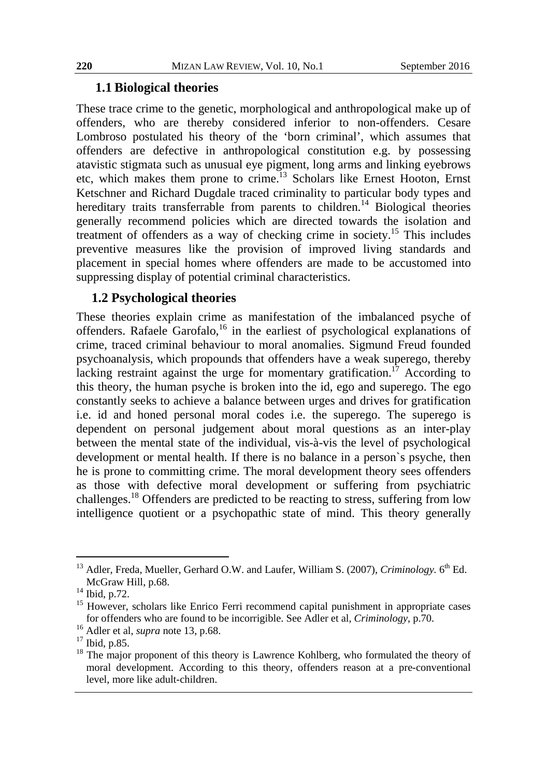#### **1.1 Biological theories**

These trace crime to the genetic, morphological and anthropological make up of offenders, who are thereby considered inferior to non-offenders. Cesare Lombroso postulated his theory of the 'born criminal', which assumes that offenders are defective in anthropological constitution e.g. by possessing atavistic stigmata such as unusual eye pigment, long arms and linking eyebrows etc, which makes them prone to crime.13 Scholars like Ernest Hooton, Ernst Ketschner and Richard Dugdale traced criminality to particular body types and hereditary traits transferrable from parents to children.<sup>14</sup> Biological theories generally recommend policies which are directed towards the isolation and treatment of offenders as a way of checking crime in society.15 This includes preventive measures like the provision of improved living standards and placement in special homes where offenders are made to be accustomed into suppressing display of potential criminal characteristics.

#### **1.2 Psychological theories**

These theories explain crime as manifestation of the imbalanced psyche of offenders. Rafaele Garofalo,<sup>16</sup> in the earliest of psychological explanations of crime, traced criminal behaviour to moral anomalies. Sigmund Freud founded psychoanalysis, which propounds that offenders have a weak superego, thereby lacking restraint against the urge for momentary gratification.<sup>17</sup> According to this theory, the human psyche is broken into the id, ego and superego. The ego constantly seeks to achieve a balance between urges and drives for gratification i.e. id and honed personal moral codes i.e. the superego. The superego is dependent on personal judgement about moral questions as an inter-play between the mental state of the individual, vis-à-vis the level of psychological development or mental health. If there is no balance in a person`s psyche, then he is prone to committing crime. The moral development theory sees offenders as those with defective moral development or suffering from psychiatric challenges.18 Offenders are predicted to be reacting to stress, suffering from low intelligence quotient or a psychopathic state of mind. This theory generally

<sup>&</sup>lt;sup>13</sup> Adler, Freda, Mueller, Gerhard O.W. and Laufer, William S. (2007), *Criminology*. 6<sup>th</sup> Ed. McGraw Hill, p.68.<br><sup>14</sup> Ibid, p.72.

<sup>&</sup>lt;sup>15</sup> However, scholars like Enrico Ferri recommend capital punishment in appropriate cases for offenders who are found to be incorrigible. See Adler et al, *Criminology*, p.70. 16 Adler et al, *supra* note 13, p.68. 17 Ibid, p.85.

<sup>&</sup>lt;sup>18</sup> The major proponent of this theory is Lawrence Kohlberg, who formulated the theory of moral development. According to this theory, offenders reason at a pre-conventional level, more like adult-children.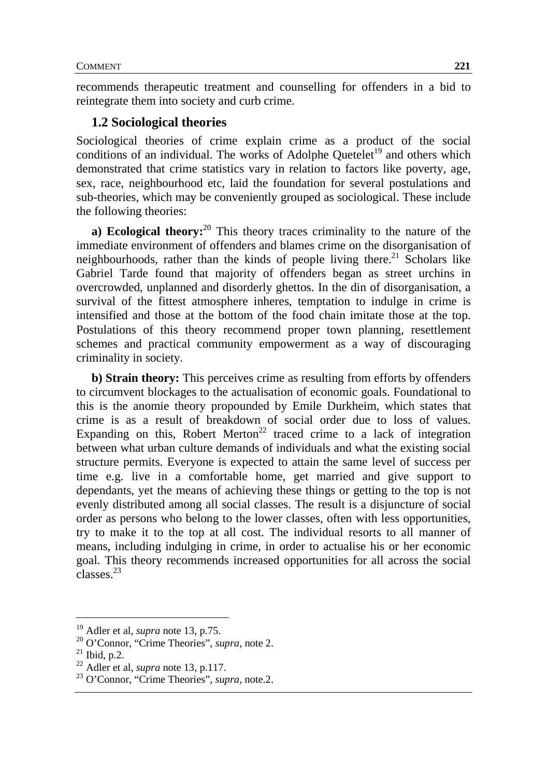recommends therapeutic treatment and counselling for offenders in a bid to reintegrate them into society and curb crime.

## **1.2 Sociological theories**

Sociological theories of crime explain crime as a product of the social conditions of an individual. The works of Adolphe Quetelet<sup>19</sup> and others which demonstrated that crime statistics vary in relation to factors like poverty, age, sex, race, neighbourhood etc, laid the foundation for several postulations and sub-theories, which may be conveniently grouped as sociological. These include the following theories:

**a) Ecological theory:**20 This theory traces criminality to the nature of the immediate environment of offenders and blames crime on the disorganisation of neighbourhoods, rather than the kinds of people living there.<sup>21</sup> Scholars like Gabriel Tarde found that majority of offenders began as street urchins in overcrowded, unplanned and disorderly ghettos. In the din of disorganisation, a survival of the fittest atmosphere inheres, temptation to indulge in crime is intensified and those at the bottom of the food chain imitate those at the top. Postulations of this theory recommend proper town planning, resettlement schemes and practical community empowerment as a way of discouraging criminality in society.

**b) Strain theory:** This perceives crime as resulting from efforts by offenders to circumvent blockages to the actualisation of economic goals. Foundational to this is the anomie theory propounded by Emile Durkheim, which states that crime is as a result of breakdown of social order due to loss of values. Expanding on this, Robert Merton<sup>22</sup> traced crime to a lack of integration between what urban culture demands of individuals and what the existing social structure permits. Everyone is expected to attain the same level of success per time e.g. live in a comfortable home, get married and give support to dependants, yet the means of achieving these things or getting to the top is not evenly distributed among all social classes. The result is a disjuncture of social order as persons who belong to the lower classes, often with less opportunities, try to make it to the top at all cost. The individual resorts to all manner of means, including indulging in crime, in order to actualise his or her economic goal. This theory recommends increased opportunities for all across the social classes<sup>23</sup>

<sup>&</sup>lt;sup>19</sup> Adler et al, *supra* note 13, p.75.

<sup>&</sup>lt;sup>20</sup> O'Connor, "Crime Theories", *supra*, note 2.<br><sup>21</sup> Ibid, p.2.<br><sup>22</sup> Adler et al, *supra* note 13, p.117.

<sup>&</sup>lt;sup>23</sup> O'Connor, "Crime Theories", *supra*, note.2.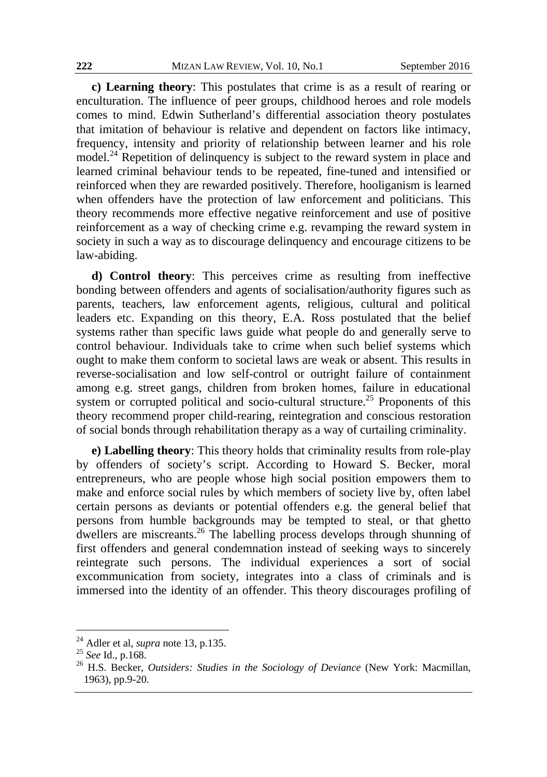**c) Learning theory**: This postulates that crime is as a result of rearing or enculturation. The influence of peer groups, childhood heroes and role models comes to mind. Edwin Sutherland's differential association theory postulates that imitation of behaviour is relative and dependent on factors like intimacy, frequency, intensity and priority of relationship between learner and his role model.<sup>24</sup> Repetition of delinquency is subject to the reward system in place and learned criminal behaviour tends to be repeated, fine-tuned and intensified or reinforced when they are rewarded positively. Therefore, hooliganism is learned when offenders have the protection of law enforcement and politicians. This theory recommends more effective negative reinforcement and use of positive reinforcement as a way of checking crime e.g. revamping the reward system in society in such a way as to discourage delinquency and encourage citizens to be law-abiding.

**d) Control theory**: This perceives crime as resulting from ineffective bonding between offenders and agents of socialisation/authority figures such as parents, teachers, law enforcement agents, religious, cultural and political leaders etc. Expanding on this theory, E.A. Ross postulated that the belief systems rather than specific laws guide what people do and generally serve to control behaviour. Individuals take to crime when such belief systems which ought to make them conform to societal laws are weak or absent. This results in reverse-socialisation and low self-control or outright failure of containment among e.g. street gangs, children from broken homes, failure in educational system or corrupted political and socio-cultural structure.<sup>25</sup> Proponents of this theory recommend proper child-rearing, reintegration and conscious restoration of social bonds through rehabilitation therapy as a way of curtailing criminality.

**e) Labelling theory**: This theory holds that criminality results from role-play by offenders of society's script. According to Howard S. Becker, moral entrepreneurs, who are people whose high social position empowers them to make and enforce social rules by which members of society live by, often label certain persons as deviants or potential offenders e.g. the general belief that persons from humble backgrounds may be tempted to steal, or that ghetto dwellers are miscreants.<sup>26</sup> The labelling process develops through shunning of first offenders and general condemnation instead of seeking ways to sincerely reintegrate such persons. The individual experiences a sort of social excommunication from society, integrates into a class of criminals and is immersed into the identity of an offender. This theory discourages profiling of

<sup>&</sup>lt;sup>24</sup> Adler et al, *supra* note 13, p.135.

<sup>&</sup>lt;sup>25</sup> See Id., p.168.<br><sup>26</sup> H.S. Becker, *Outsiders: Studies in the Sociology of Deviance* (New York: Macmillan, 1963), pp.9-20.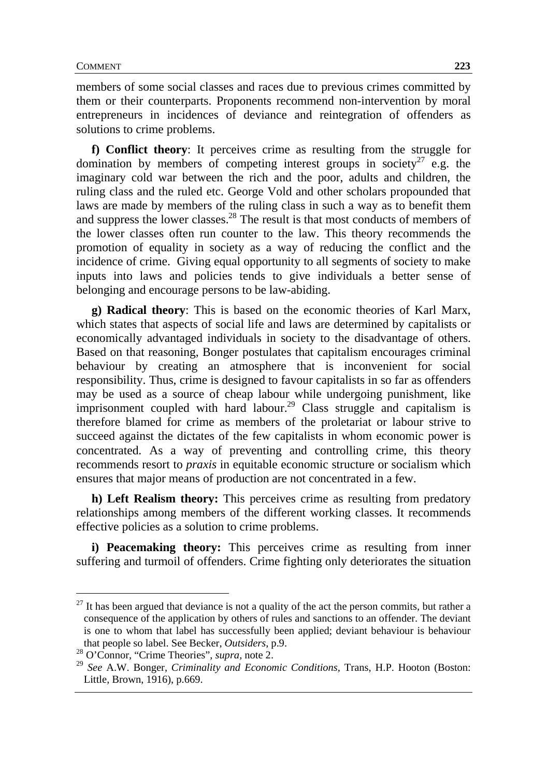members of some social classes and races due to previous crimes committed by them or their counterparts. Proponents recommend non-intervention by moral entrepreneurs in incidences of deviance and reintegration of offenders as solutions to crime problems.

**f) Conflict theory**: It perceives crime as resulting from the struggle for domination by members of competing interest groups in society<sup>27</sup> e.g. the imaginary cold war between the rich and the poor, adults and children, the ruling class and the ruled etc. George Vold and other scholars propounded that laws are made by members of the ruling class in such a way as to benefit them and suppress the lower classes.<sup>28</sup> The result is that most conducts of members of the lower classes often run counter to the law. This theory recommends the promotion of equality in society as a way of reducing the conflict and the incidence of crime. Giving equal opportunity to all segments of society to make inputs into laws and policies tends to give individuals a better sense of belonging and encourage persons to be law-abiding.

**g) Radical theory**: This is based on the economic theories of Karl Marx, which states that aspects of social life and laws are determined by capitalists or economically advantaged individuals in society to the disadvantage of others. Based on that reasoning, Bonger postulates that capitalism encourages criminal behaviour by creating an atmosphere that is inconvenient for social responsibility. Thus, crime is designed to favour capitalists in so far as offenders may be used as a source of cheap labour while undergoing punishment, like imprisonment coupled with hard labour.<sup>29</sup> Class struggle and capitalism is therefore blamed for crime as members of the proletariat or labour strive to succeed against the dictates of the few capitalists in whom economic power is concentrated. As a way of preventing and controlling crime, this theory recommends resort to *praxis* in equitable economic structure or socialism which ensures that major means of production are not concentrated in a few.

**h) Left Realism theory:** This perceives crime as resulting from predatory relationships among members of the different working classes. It recommends effective policies as a solution to crime problems.

**i) Peacemaking theory:** This perceives crime as resulting from inner suffering and turmoil of offenders. Crime fighting only deteriorates the situation

 $27$  It has been argued that deviance is not a quality of the act the person commits, but rather a consequence of the application by others of rules and sanctions to an offender. The deviant is one to whom that label has successfully been applied; deviant behaviour is behaviour

that people so label. See Becker, *Outsiders*, p.9.<br><sup>28</sup> O'Connor, "Crime Theories", *supra*, note 2.<br><sup>29</sup> *See* A.W. Bonger, *Criminality and Economic Conditions*, Trans, H.P. Hooton (Boston: Little, Brown, 1916), p.669.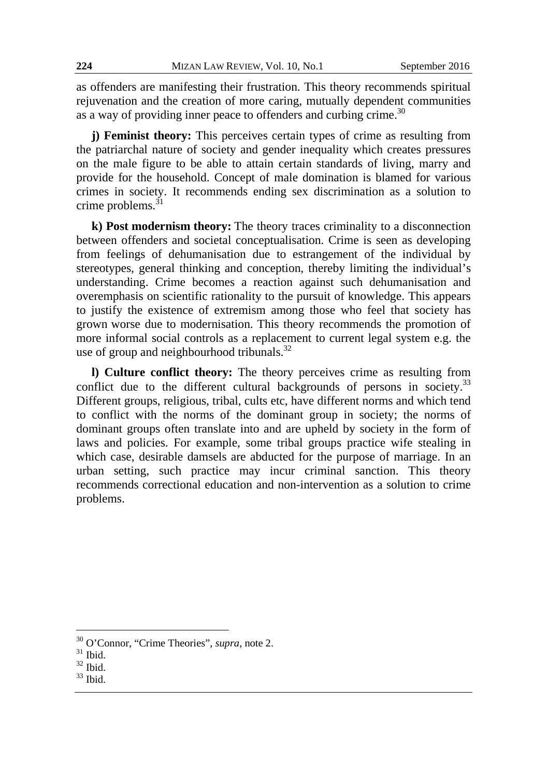as offenders are manifesting their frustration. This theory recommends spiritual rejuvenation and the creation of more caring, mutually dependent communities as a way of providing inner peace to offenders and curbing crime.<sup>30</sup>

**j) Feminist theory:** This perceives certain types of crime as resulting from the patriarchal nature of society and gender inequality which creates pressures on the male figure to be able to attain certain standards of living, marry and provide for the household. Concept of male domination is blamed for various crimes in society. It recommends ending sex discrimination as a solution to crime problems.<sup>31</sup>

**k) Post modernism theory:** The theory traces criminality to a disconnection between offenders and societal conceptualisation. Crime is seen as developing from feelings of dehumanisation due to estrangement of the individual by stereotypes, general thinking and conception, thereby limiting the individual's understanding. Crime becomes a reaction against such dehumanisation and overemphasis on scientific rationality to the pursuit of knowledge. This appears to justify the existence of extremism among those who feel that society has grown worse due to modernisation. This theory recommends the promotion of more informal social controls as a replacement to current legal system e.g. the use of group and neighbourhood tribunals.<sup>32</sup>

**l) Culture conflict theory:** The theory perceives crime as resulting from conflict due to the different cultural backgrounds of persons in society.<sup>33</sup> Different groups, religious, tribal, cults etc, have different norms and which tend to conflict with the norms of the dominant group in society; the norms of dominant groups often translate into and are upheld by society in the form of laws and policies. For example, some tribal groups practice wife stealing in which case, desirable damsels are abducted for the purpose of marriage. In an urban setting, such practice may incur criminal sanction. This theory recommends correctional education and non-intervention as a solution to crime problems.

-

33 Ibid.

<sup>&</sup>lt;sup>30</sup> O'Connor, "Crime Theories", *supra*, note 2.<br><sup>31</sup> Ibid.

 $32$  Ibid.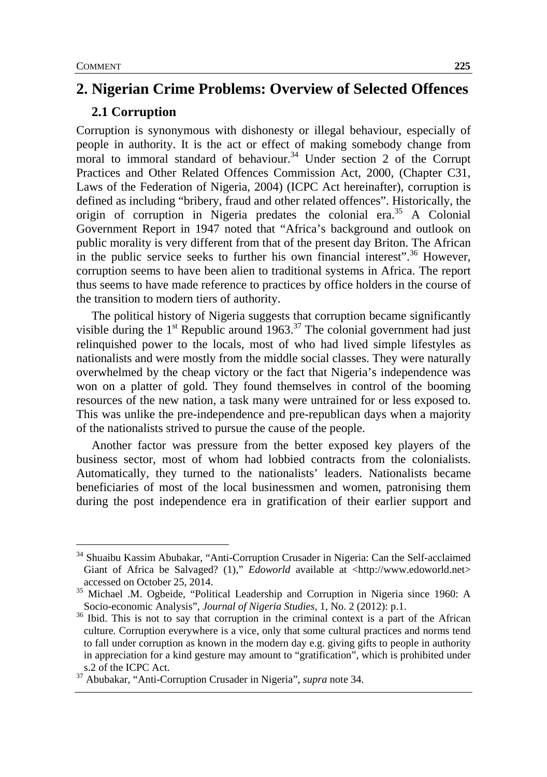<u>.</u>

## **2. Nigerian Crime Problems: Overview of Selected Offences**

### **2.1 Corruption**

Corruption is synonymous with dishonesty or illegal behaviour, especially of people in authority. It is the act or effect of making somebody change from moral to immoral standard of behaviour.<sup>34</sup> Under section 2 of the Corrupt Practices and Other Related Offences Commission Act, 2000, (Chapter C31, Laws of the Federation of Nigeria, 2004) (ICPC Act hereinafter), corruption is defined as including "bribery, fraud and other related offences". Historically, the origin of corruption in Nigeria predates the colonial era.<sup>35</sup> A Colonial Government Report in 1947 noted that "Africa's background and outlook on public morality is very different from that of the present day Briton. The African in the public service seeks to further his own financial interest".<sup>36</sup> However, corruption seems to have been alien to traditional systems in Africa. The report thus seems to have made reference to practices by office holders in the course of the transition to modern tiers of authority.

The political history of Nigeria suggests that corruption became significantly visible during the  $1<sup>st</sup>$  Republic around 1963.<sup>37</sup> The colonial government had just relinquished power to the locals, most of who had lived simple lifestyles as nationalists and were mostly from the middle social classes. They were naturally overwhelmed by the cheap victory or the fact that Nigeria's independence was won on a platter of gold. They found themselves in control of the booming resources of the new nation, a task many were untrained for or less exposed to. This was unlike the pre-independence and pre-republican days when a majority of the nationalists strived to pursue the cause of the people.

Another factor was pressure from the better exposed key players of the business sector, most of whom had lobbied contracts from the colonialists. Automatically, they turned to the nationalists' leaders. Nationalists became beneficiaries of most of the local businessmen and women, patronising them during the post independence era in gratification of their earlier support and

<sup>&</sup>lt;sup>34</sup> Shuaibu Kassim Abubakar, "Anti-Corruption Crusader in Nigeria: Can the Self-acclaimed Giant of Africa be Salvaged? (1)," *Edoworld* available at <http://www.edoworld.net>

accessed on October 25, 2014.<br><sup>35</sup> Michael .M. Ogbeide, "Political Leadership and Corruption in Nigeria since 1960: A Socio-economic Analysis", *Journal of Nigeria Studies*, 1, No. 2 (2012): p.1.<br><sup>36</sup> Ibid. This is not to say that corruption in the criminal context is a part of the African

culture. Corruption everywhere is a vice, only that some cultural practices and norms tend to fall under corruption as known in the modern day e.g. giving gifts to people in authority in appreciation for a kind gesture may amount to "gratification", which is prohibited under s.2 of the ICPC Act. 37 Abubakar, "Anti-Corruption Crusader in Nigeria", *supra* note 34.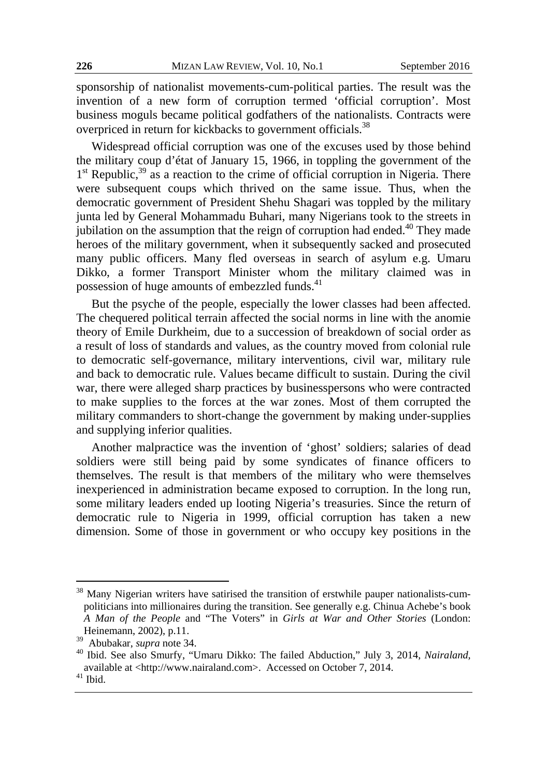sponsorship of nationalist movements-cum-political parties. The result was the invention of a new form of corruption termed 'official corruption'. Most business moguls became political godfathers of the nationalists. Contracts were overpriced in return for kickbacks to government officials.<sup>38</sup>

Widespread official corruption was one of the excuses used by those behind the military coup d'état of January 15, 1966, in toppling the government of the  $1<sup>st</sup>$  Republic,<sup>39</sup> as a reaction to the crime of official corruption in Nigeria. There were subsequent coups which thrived on the same issue. Thus, when the democratic government of President Shehu Shagari was toppled by the military junta led by General Mohammadu Buhari, many Nigerians took to the streets in iubilation on the assumption that the reign of corruption had ended.<sup> $40$ </sup> They made heroes of the military government, when it subsequently sacked and prosecuted many public officers. Many fled overseas in search of asylum e.g. Umaru Dikko, a former Transport Minister whom the military claimed was in possession of huge amounts of embezzled funds.<sup>41</sup>

But the psyche of the people, especially the lower classes had been affected. The chequered political terrain affected the social norms in line with the anomie theory of Emile Durkheim, due to a succession of breakdown of social order as a result of loss of standards and values, as the country moved from colonial rule to democratic self-governance, military interventions, civil war, military rule and back to democratic rule. Values became difficult to sustain. During the civil war, there were alleged sharp practices by businesspersons who were contracted to make supplies to the forces at the war zones. Most of them corrupted the military commanders to short-change the government by making under-supplies and supplying inferior qualities.

Another malpractice was the invention of 'ghost' soldiers; salaries of dead soldiers were still being paid by some syndicates of finance officers to themselves. The result is that members of the military who were themselves inexperienced in administration became exposed to corruption. In the long run, some military leaders ended up looting Nigeria's treasuries. Since the return of democratic rule to Nigeria in 1999, official corruption has taken a new dimension. Some of those in government or who occupy key positions in the

1

 $38$  Many Nigerian writers have satirised the transition of erstwhile pauper nationalists-cumpoliticians into millionaires during the transition. See generally e.g. Chinua Achebe's book *A Man of the People* and "The Voters" in *Girls at War and Other Stories* (London: Heinemann, 2002), p.11.<br><sup>39</sup> Abubakar, *supra* note 34.<br><sup>40</sup> Ibid. See also Smurfy, "Umaru Dikko: The failed Abduction," July 3, 2014, *Nairaland*,

available at <http://www.nairaland.com>. Accessed on October 7, 2014. 41 Ibid.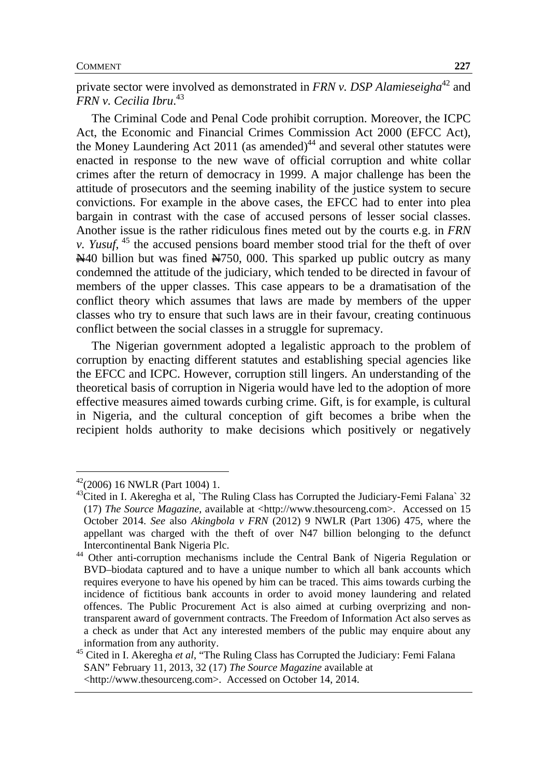private sector were involved as demonstrated in *FRN v. DSP Alamieseigha*42 and *FRN v. Cecilia Ibru*. 43

The Criminal Code and Penal Code prohibit corruption. Moreover, the ICPC Act, the Economic and Financial Crimes Commission Act 2000 (EFCC Act), the Money Laundering Act 2011 (as amended)<sup>44</sup> and several other statutes were enacted in response to the new wave of official corruption and white collar crimes after the return of democracy in 1999. A major challenge has been the attitude of prosecutors and the seeming inability of the justice system to secure convictions. For example in the above cases, the EFCC had to enter into plea bargain in contrast with the case of accused persons of lesser social classes. Another issue is the rather ridiculous fines meted out by the courts e.g. in *FRN v*. *Yusuf*, <sup>45</sup> the accused pensions board member stood trial for the theft of over N<sub>440</sub> billion but was fined N<sub>1750</sub>, 000. This sparked up public outcry as many condemned the attitude of the judiciary, which tended to be directed in favour of members of the upper classes. This case appears to be a dramatisation of the conflict theory which assumes that laws are made by members of the upper classes who try to ensure that such laws are in their favour, creating continuous conflict between the social classes in a struggle for supremacy.

The Nigerian government adopted a legalistic approach to the problem of corruption by enacting different statutes and establishing special agencies like the EFCC and ICPC. However, corruption still lingers. An understanding of the theoretical basis of corruption in Nigeria would have led to the adoption of more effective measures aimed towards curbing crime. Gift, is for example, is cultural in Nigeria, and the cultural conception of gift becomes a bribe when the recipient holds authority to make decisions which positively or negatively

 $42(2006)$  16 NWLR (Part 1004) 1.

<sup>&</sup>lt;sup>43</sup>Cited in I. Akeregha et al, `The Ruling Class has Corrupted the Judiciary-Femi Falana` 32 (17) *The Source Magazine,* available at <http://www.thesourceng.com>. Accessed on 15 October 2014. *See* also *Akingbola v FRN* (2012) 9 NWLR (Part 1306) 475, where the appellant was charged with the theft of over N47 billion belonging to the defunct

Intercontinental Bank Nigeria Plc. 44 Other anti-corruption mechanisms include the Central Bank of Nigeria Regulation or BVD–biodata captured and to have a unique number to which all bank accounts which requires everyone to have his opened by him can be traced. This aims towards curbing the incidence of fictitious bank accounts in order to avoid money laundering and related offences. The Public Procurement Act is also aimed at curbing overprizing and nontransparent award of government contracts. The Freedom of Information Act also serves as a check as under that Act any interested members of the public may enquire about any

information from any authority. 45 Cited in I. Akeregha *et al*, "The Ruling Class has Corrupted the Judiciary: Femi Falana SAN" February 11, 2013, 32 (17) *The Source Magazine* available at <http://www.thesourceng.com>. Accessed on October 14, 2014.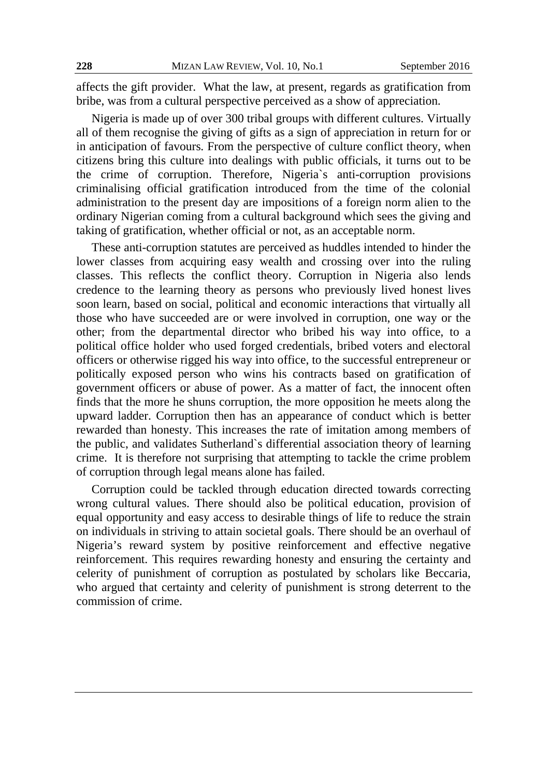affects the gift provider. What the law, at present, regards as gratification from bribe, was from a cultural perspective perceived as a show of appreciation.

Nigeria is made up of over 300 tribal groups with different cultures. Virtually all of them recognise the giving of gifts as a sign of appreciation in return for or in anticipation of favours. From the perspective of culture conflict theory, when citizens bring this culture into dealings with public officials, it turns out to be the crime of corruption. Therefore, Nigeria`s anti-corruption provisions criminalising official gratification introduced from the time of the colonial administration to the present day are impositions of a foreign norm alien to the ordinary Nigerian coming from a cultural background which sees the giving and taking of gratification, whether official or not, as an acceptable norm.

These anti-corruption statutes are perceived as huddles intended to hinder the lower classes from acquiring easy wealth and crossing over into the ruling classes. This reflects the conflict theory. Corruption in Nigeria also lends credence to the learning theory as persons who previously lived honest lives soon learn, based on social, political and economic interactions that virtually all those who have succeeded are or were involved in corruption, one way or the other; from the departmental director who bribed his way into office, to a political office holder who used forged credentials, bribed voters and electoral officers or otherwise rigged his way into office, to the successful entrepreneur or politically exposed person who wins his contracts based on gratification of government officers or abuse of power. As a matter of fact, the innocent often finds that the more he shuns corruption, the more opposition he meets along the upward ladder. Corruption then has an appearance of conduct which is better rewarded than honesty. This increases the rate of imitation among members of the public, and validates Sutherland`s differential association theory of learning crime. It is therefore not surprising that attempting to tackle the crime problem of corruption through legal means alone has failed.

Corruption could be tackled through education directed towards correcting wrong cultural values. There should also be political education, provision of equal opportunity and easy access to desirable things of life to reduce the strain on individuals in striving to attain societal goals. There should be an overhaul of Nigeria's reward system by positive reinforcement and effective negative reinforcement. This requires rewarding honesty and ensuring the certainty and celerity of punishment of corruption as postulated by scholars like Beccaria, who argued that certainty and celerity of punishment is strong deterrent to the commission of crime.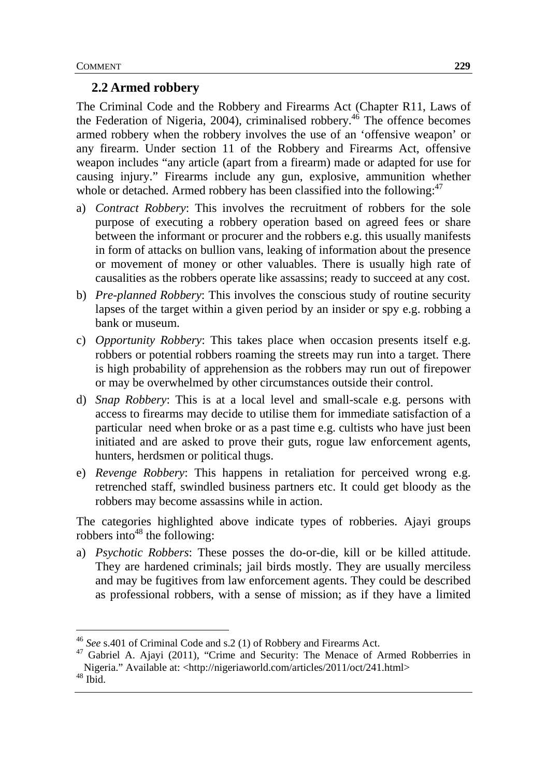## **2.2 Armed robbery**

The Criminal Code and the Robbery and Firearms Act (Chapter R11, Laws of the Federation of Nigeria, 2004), criminalised robbery.<sup>46</sup> The offence becomes armed robbery when the robbery involves the use of an 'offensive weapon' or any firearm. Under section 11 of the Robbery and Firearms Act, offensive weapon includes "any article (apart from a firearm) made or adapted for use for causing injury." Firearms include any gun, explosive, ammunition whether whole or detached. Armed robbery has been classified into the following: $47$ 

- a) *Contract Robbery*: This involves the recruitment of robbers for the sole purpose of executing a robbery operation based on agreed fees or share between the informant or procurer and the robbers e.g. this usually manifests in form of attacks on bullion vans, leaking of information about the presence or movement of money or other valuables. There is usually high rate of causalities as the robbers operate like assassins; ready to succeed at any cost.
- b) *Pre-planned Robbery*: This involves the conscious study of routine security lapses of the target within a given period by an insider or spy e.g. robbing a bank or museum.
- c) *Opportunity Robbery*: This takes place when occasion presents itself e.g. robbers or potential robbers roaming the streets may run into a target. There is high probability of apprehension as the robbers may run out of firepower or may be overwhelmed by other circumstances outside their control.
- d) *Snap Robbery*: This is at a local level and small-scale e.g. persons with access to firearms may decide to utilise them for immediate satisfaction of a particular need when broke or as a past time e.g. cultists who have just been initiated and are asked to prove their guts, rogue law enforcement agents, hunters, herdsmen or political thugs.
- e) *Revenge Robbery*: This happens in retaliation for perceived wrong e.g. retrenched staff, swindled business partners etc. It could get bloody as the robbers may become assassins while in action.

The categories highlighted above indicate types of robberies. Ajayi groups robbers into  $48$  the following:

a) *Psychotic Robbers*: These posses the do-or-die, kill or be killed attitude. They are hardened criminals; jail birds mostly. They are usually merciless and may be fugitives from law enforcement agents. They could be described as professional robbers, with a sense of mission; as if they have a limited

<sup>-</sup>

<sup>&</sup>lt;sup>46</sup> *See* s.401 of Criminal Code and s.2 (1) of Robbery and Firearms Act.<br><sup>47</sup> Gabriel A. Ajayi (2011), "Crime and Security: The Menace of Armed Robberries in Nigeria." Available at: <http://nigeriaworld.com/articles/2011/oct/241.html> 48 Ibid.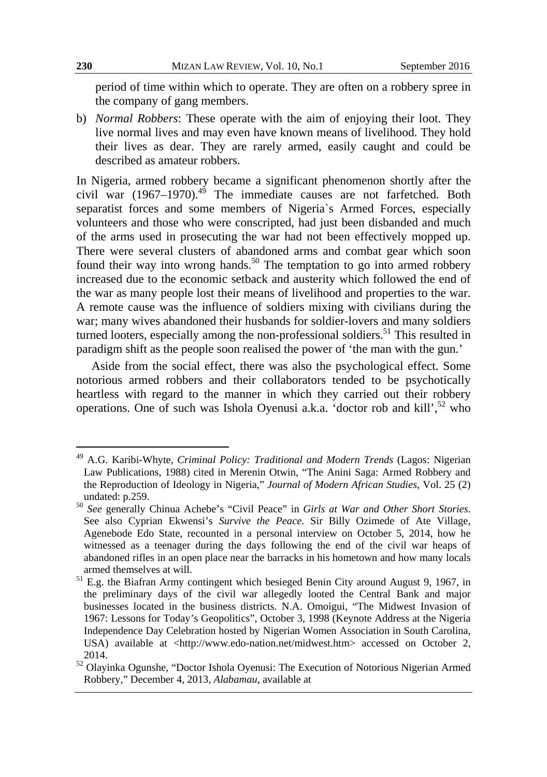period of time within which to operate. They are often on a robbery spree in the company of gang members.

b) *Normal Robbers*: These operate with the aim of enjoying their loot. They live normal lives and may even have known means of livelihood. They hold their lives as dear. They are rarely armed, easily caught and could be described as amateur robbers.

In Nigeria, armed robbery became a significant phenomenon shortly after the civil war  $(1967-1970)$ <sup>49</sup> The immediate causes are not farfetched. Both separatist forces and some members of Nigeria`s Armed Forces, especially volunteers and those who were conscripted, had just been disbanded and much of the arms used in prosecuting the war had not been effectively mopped up. There were several clusters of abandoned arms and combat gear which soon found their way into wrong hands.<sup>50</sup> The temptation to go into armed robbery increased due to the economic setback and austerity which followed the end of the war as many people lost their means of livelihood and properties to the war. A remote cause was the influence of soldiers mixing with civilians during the war; many wives abandoned their husbands for soldier-lovers and many soldiers turned looters, especially among the non-professional soldiers.<sup>51</sup> This resulted in paradigm shift as the people soon realised the power of 'the man with the gun.'

Aside from the social effect, there was also the psychological effect. Some notorious armed robbers and their collaborators tended to be psychotically heartless with regard to the manner in which they carried out their robbery operations. One of such was Ishola Oyenusi a.k.a. 'doctor rob and kill',  $52$  who

<sup>49</sup> A.G. Karibi-Whyte, *Criminal Policy: Traditional and Modern Trends* (Lagos: Nigerian Law Publications, 1988) cited in Merenin Otwin, "The Anini Saga: Armed Robbery and the Reproduction of Ideology in Nigeria," *Journal of Modern African Studies*, Vol. 25 (2)

undated: p.259. 50 *See* generally Chinua Achebe's "Civil Peace" in *Girls at War and Other Short Stories*. See also Cyprian Ekwensi's *Survive the Peace*. Sir Billy Ozimede of Ate Village, Agenebode Edo State, recounted in a personal interview on October 5, 2014, how he witnessed as a teenager during the days following the end of the civil war heaps of abandoned rifles in an open place near the barracks in his hometown and how many locals armed themselves at will.<br><sup>51</sup> E.g. the Biafran Army contingent which besieged Benin City around August 9, 1967, in

the preliminary days of the civil war allegedly looted the Central Bank and major businesses located in the business districts. N.A. Omoigui, "The Midwest Invasion of 1967: Lessons for Today's Geopolitics", October 3, 1998 (Keynote Address at the Nigeria Independence Day Celebration hosted by Nigerian Women Association in South Carolina, USA) available at <http://www.edo-nation.net/midwest.htm> accessed on October 2,

<sup>2014. 52</sup> Olayinka Ogunshe, "Doctor Ishola Oyenusi: The Execution of Notorious Nigerian Armed Robbery," December 4, 2013, *Alabamau*, available at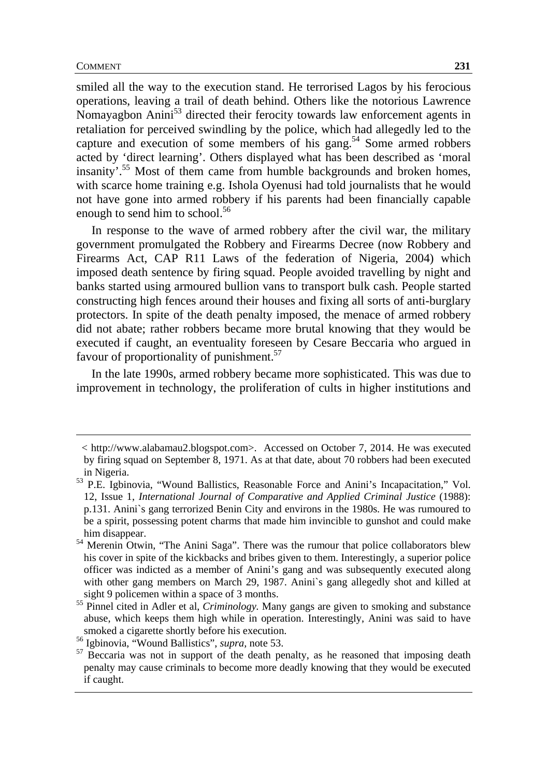-

smiled all the way to the execution stand. He terrorised Lagos by his ferocious operations, leaving a trail of death behind. Others like the notorious Lawrence Nomayagbon Anini<sup>53</sup> directed their ferocity towards law enforcement agents in retaliation for perceived swindling by the police, which had allegedly led to the capture and execution of some members of his gang.<sup>54</sup> Some armed robbers acted by 'direct learning'. Others displayed what has been described as 'moral insanity'.55 Most of them came from humble backgrounds and broken homes, with scarce home training e.g. Ishola Oyenusi had told journalists that he would not have gone into armed robbery if his parents had been financially capable enough to send him to school.<sup>56</sup>

In response to the wave of armed robbery after the civil war, the military government promulgated the Robbery and Firearms Decree (now Robbery and Firearms Act, CAP R11 Laws of the federation of Nigeria, 2004) which imposed death sentence by firing squad. People avoided travelling by night and banks started using armoured bullion vans to transport bulk cash. People started constructing high fences around their houses and fixing all sorts of anti-burglary protectors. In spite of the death penalty imposed, the menace of armed robbery did not abate; rather robbers became more brutal knowing that they would be executed if caught, an eventuality foreseen by Cesare Beccaria who argued in favour of proportionality of punishment.<sup>57</sup>

In the late 1990s, armed robbery became more sophisticated. This was due to improvement in technology, the proliferation of cults in higher institutions and

 <sup>&</sup>lt; http://www.alabamau2.blogspot.com>. Accessed on October 7, 2014. He was executed by firing squad on September 8, 1971. As at that date, about 70 robbers had been executed

in Nigeria. 53 P.E. Igbinovia, "Wound Ballistics, Reasonable Force and Anini's Incapacitation," Vol. 12, Issue 1, *International Journal of Comparative and Applied Criminal Justice* (1988): p.131. Anini`s gang terrorized Benin City and environs in the 1980s. He was rumoured to be a spirit, possessing potent charms that made him invincible to gunshot and could make him disappear.<br><sup>54</sup> Merenin Otwin, "The Anini Saga". There was the rumour that police collaborators blew

his cover in spite of the kickbacks and bribes given to them. Interestingly, a superior police officer was indicted as a member of Anini's gang and was subsequently executed along with other gang members on March 29, 1987. Anini`s gang allegedly shot and killed at

sight 9 policemen within a space of 3 months. 55 Pinnel cited in Adler et al, *Criminology.* Many gangs are given to smoking and substance abuse, which keeps them high while in operation. Interestingly, Anini was said to have

smoked a cigarette shortly before his execution.<br><sup>56</sup> Igbinovia, "Wound Ballistics", *supra*, note 53.<br><sup>57</sup> Beccaria was not in support of the death penalty, as he reasoned that imposing death penalty may cause criminals to become more deadly knowing that they would be executed if caught.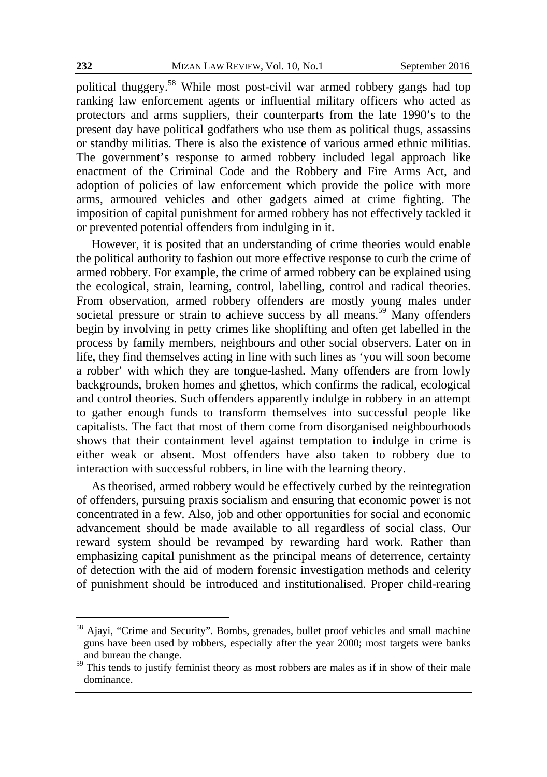political thuggery.58 While most post-civil war armed robbery gangs had top ranking law enforcement agents or influential military officers who acted as protectors and arms suppliers, their counterparts from the late 1990's to the present day have political godfathers who use them as political thugs, assassins or standby militias. There is also the existence of various armed ethnic militias. The government's response to armed robbery included legal approach like enactment of the Criminal Code and the Robbery and Fire Arms Act, and adoption of policies of law enforcement which provide the police with more arms, armoured vehicles and other gadgets aimed at crime fighting. The imposition of capital punishment for armed robbery has not effectively tackled it or prevented potential offenders from indulging in it.

However, it is posited that an understanding of crime theories would enable the political authority to fashion out more effective response to curb the crime of armed robbery. For example, the crime of armed robbery can be explained using the ecological, strain, learning, control, labelling, control and radical theories. From observation, armed robbery offenders are mostly young males under societal pressure or strain to achieve success by all means.<sup>59</sup> Many offenders begin by involving in petty crimes like shoplifting and often get labelled in the process by family members, neighbours and other social observers. Later on in life, they find themselves acting in line with such lines as 'you will soon become a robber' with which they are tongue-lashed. Many offenders are from lowly backgrounds, broken homes and ghettos, which confirms the radical, ecological and control theories. Such offenders apparently indulge in robbery in an attempt to gather enough funds to transform themselves into successful people like capitalists. The fact that most of them come from disorganised neighbourhoods shows that their containment level against temptation to indulge in crime is either weak or absent. Most offenders have also taken to robbery due to interaction with successful robbers, in line with the learning theory.

As theorised, armed robbery would be effectively curbed by the reintegration of offenders, pursuing praxis socialism and ensuring that economic power is not concentrated in a few. Also, job and other opportunities for social and economic advancement should be made available to all regardless of social class. Our reward system should be revamped by rewarding hard work. Rather than emphasizing capital punishment as the principal means of deterrence, certainty of detection with the aid of modern forensic investigation methods and celerity of punishment should be introduced and institutionalised. Proper child-rearing

<sup>58</sup> 58 Ajayi, "Crime and Security". Bombs, grenades, bullet proof vehicles and small machine guns have been used by robbers, especially after the year 2000; most targets were banks

<sup>&</sup>lt;sup>59</sup> This tends to justify feminist theory as most robbers are males as if in show of their male dominance.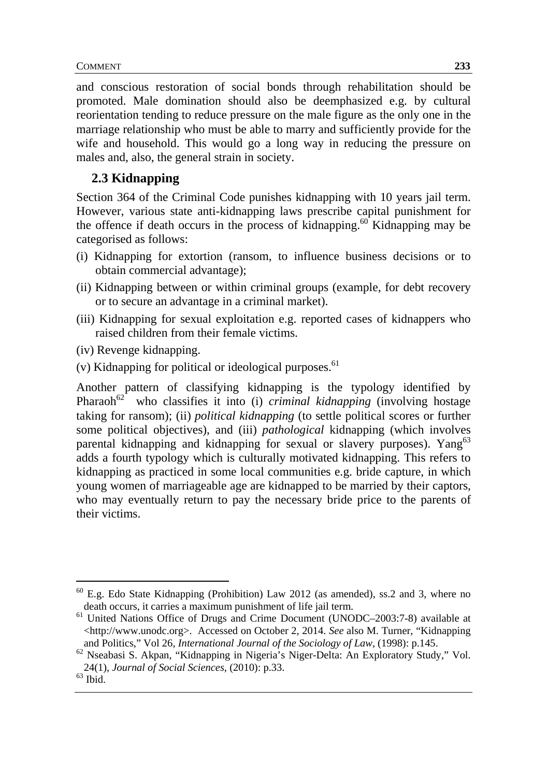and conscious restoration of social bonds through rehabilitation should be promoted. Male domination should also be deemphasized e.g. by cultural reorientation tending to reduce pressure on the male figure as the only one in the marriage relationship who must be able to marry and sufficiently provide for the wife and household. This would go a long way in reducing the pressure on males and, also, the general strain in society.

## **2.3 Kidnapping**

Section 364 of the Criminal Code punishes kidnapping with 10 years jail term. However, various state anti-kidnapping laws prescribe capital punishment for the offence if death occurs in the process of kidnapping.<sup>60</sup> Kidnapping may be categorised as follows:

- (i) Kidnapping for extortion (ransom, to influence business decisions or to obtain commercial advantage);
- (ii) Kidnapping between or within criminal groups (example, for debt recovery or to secure an advantage in a criminal market).
- (iii) Kidnapping for sexual exploitation e.g. reported cases of kidnappers who raised children from their female victims.
- (iv) Revenge kidnapping.
- (v) Kidnapping for political or ideological purposes.  $61$

Another pattern of classifying kidnapping is the typology identified by Pharaoh<sup>62</sup> who classifies it into (i) *criminal kidnapping* (involving hostage taking for ransom); (ii) *political kidnapping* (to settle political scores or further some political objectives), and (iii) *pathological* kidnapping (which involves parental kidnapping and kidnapping for sexual or slavery purposes). Yang<sup>63</sup> adds a fourth typology which is culturally motivated kidnapping. This refers to kidnapping as practiced in some local communities e.g. bride capture, in which young women of marriageable age are kidnapped to be married by their captors, who may eventually return to pay the necessary bride price to the parents of their victims.

1

 $60$  E.g. Edo State Kidnapping (Prohibition) Law 2012 (as amended), ss.2 and 3, where no

death occurs, it carries a maximum punishment of life jail term.<br><sup>61</sup> United Nations Office of Drugs and Crime Document (UNODC–2003:7-8) available at <http://www.unodc.org>. Accessed on October 2, 2014. *See* also M. Turner, "Kidnapping"

and Politics," Vol 26, *International Journal of the Sociology of Law*, (1998): p.145.<br><sup>62</sup> Nseabasi S. Akpan, "Kidnapping in Nigeria's Niger-Delta: An Exploratory Study," Vol. 24(1), *Journal of Social Sciences*, (2010): p.33. 63 Ibid.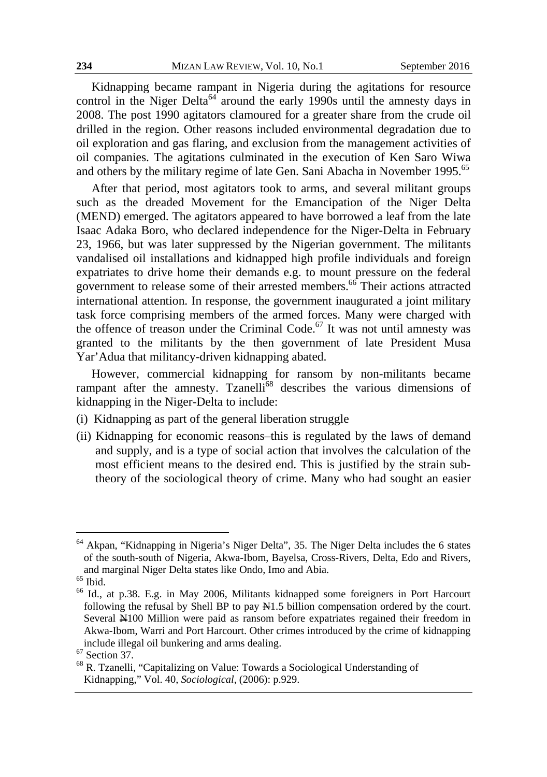Kidnapping became rampant in Nigeria during the agitations for resource control in the Niger Delta<sup>64</sup> around the early 1990s until the amnesty days in 2008. The post 1990 agitators clamoured for a greater share from the crude oil drilled in the region. Other reasons included environmental degradation due to oil exploration and gas flaring, and exclusion from the management activities of oil companies. The agitations culminated in the execution of Ken Saro Wiwa and others by the military regime of late Gen. Sani Abacha in November 1995.<sup>65</sup>

After that period, most agitators took to arms, and several militant groups such as the dreaded Movement for the Emancipation of the Niger Delta (MEND) emerged. The agitators appeared to have borrowed a leaf from the late Isaac Adaka Boro, who declared independence for the Niger-Delta in February 23, 1966, but was later suppressed by the Nigerian government. The militants vandalised oil installations and kidnapped high profile individuals and foreign expatriates to drive home their demands e.g. to mount pressure on the federal government to release some of their arrested members.<sup>66</sup> Their actions attracted international attention. In response, the government inaugurated a joint military task force comprising members of the armed forces. Many were charged with the offence of treason under the Criminal Code.<sup>67</sup> It was not until amnesty was granted to the militants by the then government of late President Musa Yar'Adua that militancy-driven kidnapping abated.

However, commercial kidnapping for ransom by non-militants became rampant after the amnesty. Tzanelli<sup>68</sup> describes the various dimensions of kidnapping in the Niger-Delta to include:

- (i) Kidnapping as part of the general liberation struggle
- (ii) Kidnapping for economic reasons–this is regulated by the laws of demand and supply, and is a type of social action that involves the calculation of the most efficient means to the desired end. This is justified by the strain subtheory of the sociological theory of crime. Many who had sought an easier

 $64$  Akpan, "Kidnapping in Nigeria's Niger Delta", 35. The Niger Delta includes the 6 states of the south-south of Nigeria, Akwa-Ibom, Bayelsa, Cross-Rivers, Delta, Edo and Rivers, and marginal Niger Delta states like Ondo, Imo and Abia.

 $65$  Ibid.

<sup>66</sup> Id., at p.38. E.g. in May 2006, Militants kidnapped some foreigners in Port Harcourt following the refusal by Shell BP to pay  $\mathbb{H}1.5$  billion compensation ordered by the court. Several N100 Million were paid as ransom before expatriates regained their freedom in Akwa-Ibom, Warri and Port Harcourt. Other crimes introduced by the crime of kidnapping include illegal oil bunkering and arms dealing. 67 Section 37.

<sup>68</sup> R. Tzanelli, "Capitalizing on Value: Towards a Sociological Understanding of Kidnapping," Vol. 40, *Sociological*, (2006): p.929.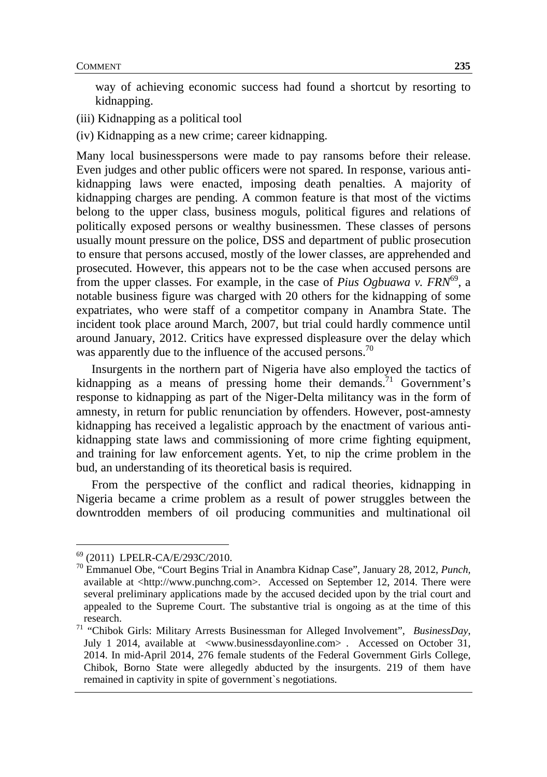way of achieving economic success had found a shortcut by resorting to kidnapping.

- (iii) Kidnapping as a political tool
- (iv) Kidnapping as a new crime; career kidnapping.

Many local businesspersons were made to pay ransoms before their release. Even judges and other public officers were not spared. In response, various antikidnapping laws were enacted, imposing death penalties. A majority of kidnapping charges are pending. A common feature is that most of the victims belong to the upper class, business moguls, political figures and relations of politically exposed persons or wealthy businessmen. These classes of persons usually mount pressure on the police, DSS and department of public prosecution to ensure that persons accused, mostly of the lower classes, are apprehended and prosecuted. However, this appears not to be the case when accused persons are from the upper classes. For example, in the case of *Pius Ogbuawa v. FRN*<sup>69</sup>, a notable business figure was charged with 20 others for the kidnapping of some expatriates, who were staff of a competitor company in Anambra State. The incident took place around March, 2007, but trial could hardly commence until around January, 2012. Critics have expressed displeasure over the delay which was apparently due to the influence of the accused persons.<sup>70</sup>

Insurgents in the northern part of Nigeria have also employed the tactics of kidnapping as a means of pressing home their demands.<sup>71</sup> Government's response to kidnapping as part of the Niger-Delta militancy was in the form of amnesty, in return for public renunciation by offenders. However, post-amnesty kidnapping has received a legalistic approach by the enactment of various antikidnapping state laws and commissioning of more crime fighting equipment, and training for law enforcement agents. Yet, to nip the crime problem in the bud, an understanding of its theoretical basis is required.

From the perspective of the conflict and radical theories, kidnapping in Nigeria became a crime problem as a result of power struggles between the downtrodden members of oil producing communities and multinational oil

<u>.</u>

<sup>69 (2011)</sup> LPELR-CA/E/293C/2010.

<sup>70</sup> Emmanuel Obe, "Court Begins Trial in Anambra Kidnap Case", January 28, 2012, *Punch,* available at <http://www.punchng.com>. Accessed on September 12, 2014. There were several preliminary applications made by the accused decided upon by the trial court and appealed to the Supreme Court. The substantive trial is ongoing as at the time of this research. 71 "Chibok Girls: Military Arrests Businessman for Alleged Involvement", *BusinessDay*,

July 1 2014, available at <www.businessdayonline.com> . Accessed on October 31, 2014. In mid-April 2014, 276 female students of the Federal Government Girls College, Chibok, Borno State were allegedly abducted by the insurgents. 219 of them have remained in captivity in spite of government`s negotiations.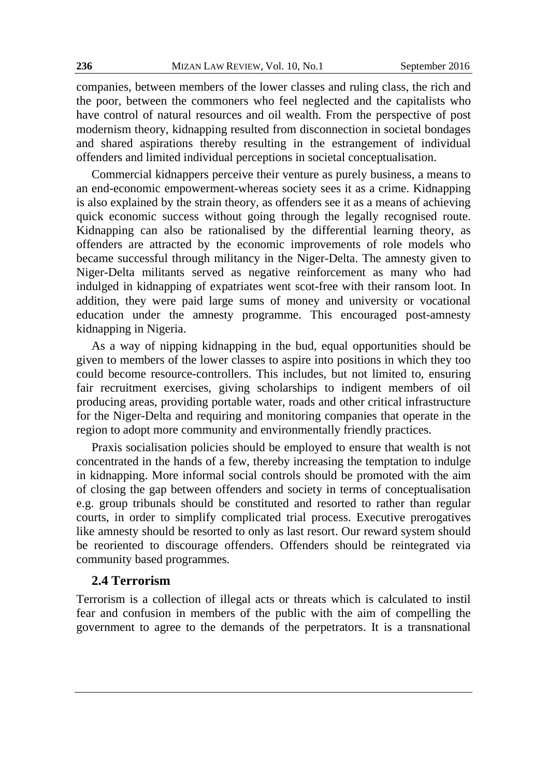companies, between members of the lower classes and ruling class, the rich and the poor, between the commoners who feel neglected and the capitalists who have control of natural resources and oil wealth. From the perspective of post modernism theory, kidnapping resulted from disconnection in societal bondages and shared aspirations thereby resulting in the estrangement of individual offenders and limited individual perceptions in societal conceptualisation.

Commercial kidnappers perceive their venture as purely business, a means to an end-economic empowerment-whereas society sees it as a crime. Kidnapping is also explained by the strain theory, as offenders see it as a means of achieving quick economic success without going through the legally recognised route. Kidnapping can also be rationalised by the differential learning theory, as offenders are attracted by the economic improvements of role models who became successful through militancy in the Niger-Delta. The amnesty given to Niger-Delta militants served as negative reinforcement as many who had indulged in kidnapping of expatriates went scot-free with their ransom loot. In addition, they were paid large sums of money and university or vocational education under the amnesty programme. This encouraged post-amnesty kidnapping in Nigeria.

As a way of nipping kidnapping in the bud, equal opportunities should be given to members of the lower classes to aspire into positions in which they too could become resource-controllers. This includes, but not limited to, ensuring fair recruitment exercises, giving scholarships to indigent members of oil producing areas, providing portable water, roads and other critical infrastructure for the Niger-Delta and requiring and monitoring companies that operate in the region to adopt more community and environmentally friendly practices.

Praxis socialisation policies should be employed to ensure that wealth is not concentrated in the hands of a few, thereby increasing the temptation to indulge in kidnapping. More informal social controls should be promoted with the aim of closing the gap between offenders and society in terms of conceptualisation e.g. group tribunals should be constituted and resorted to rather than regular courts, in order to simplify complicated trial process. Executive prerogatives like amnesty should be resorted to only as last resort. Our reward system should be reoriented to discourage offenders. Offenders should be reintegrated via community based programmes.

#### **2.4 Terrorism**

Terrorism is a collection of illegal acts or threats which is calculated to instil fear and confusion in members of the public with the aim of compelling the government to agree to the demands of the perpetrators. It is a transnational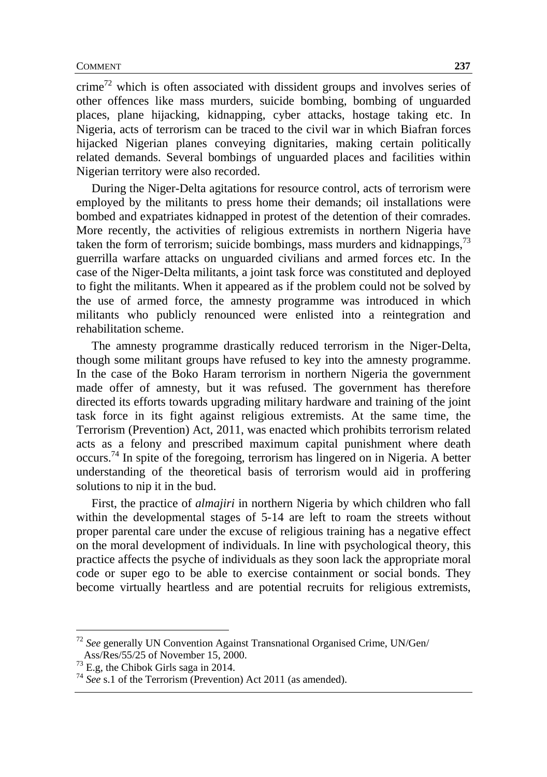crime72 which is often associated with dissident groups and involves series of other offences like mass murders, suicide bombing, bombing of unguarded places, plane hijacking, kidnapping, cyber attacks, hostage taking etc. In Nigeria, acts of terrorism can be traced to the civil war in which Biafran forces hijacked Nigerian planes conveying dignitaries, making certain politically related demands. Several bombings of unguarded places and facilities within Nigerian territory were also recorded.

During the Niger-Delta agitations for resource control, acts of terrorism were employed by the militants to press home their demands; oil installations were bombed and expatriates kidnapped in protest of the detention of their comrades. More recently, the activities of religious extremists in northern Nigeria have taken the form of terrorism; suicide bombings, mass murders and kidnappings,<sup>73</sup> guerrilla warfare attacks on unguarded civilians and armed forces etc. In the case of the Niger-Delta militants, a joint task force was constituted and deployed to fight the militants. When it appeared as if the problem could not be solved by the use of armed force, the amnesty programme was introduced in which militants who publicly renounced were enlisted into a reintegration and rehabilitation scheme.

The amnesty programme drastically reduced terrorism in the Niger-Delta, though some militant groups have refused to key into the amnesty programme. In the case of the Boko Haram terrorism in northern Nigeria the government made offer of amnesty, but it was refused. The government has therefore directed its efforts towards upgrading military hardware and training of the joint task force in its fight against religious extremists. At the same time, the Terrorism (Prevention) Act, 2011, was enacted which prohibits terrorism related acts as a felony and prescribed maximum capital punishment where death occurs.74 In spite of the foregoing, terrorism has lingered on in Nigeria. A better understanding of the theoretical basis of terrorism would aid in proffering solutions to nip it in the bud.

First, the practice of *almajiri* in northern Nigeria by which children who fall within the developmental stages of 5-14 are left to roam the streets without proper parental care under the excuse of religious training has a negative effect on the moral development of individuals. In line with psychological theory, this practice affects the psyche of individuals as they soon lack the appropriate moral code or super ego to be able to exercise containment or social bonds. They become virtually heartless and are potential recruits for religious extremists,

<sup>72</sup> *See* generally UN Convention Against Transnational Organised Crime, UN/Gen/ Ass/Res/55/25 of November 15, 2000. 73 E.g, the Chibok Girls saga in 2014.

<sup>74</sup> *See* s.1 of the Terrorism (Prevention) Act 2011 (as amended).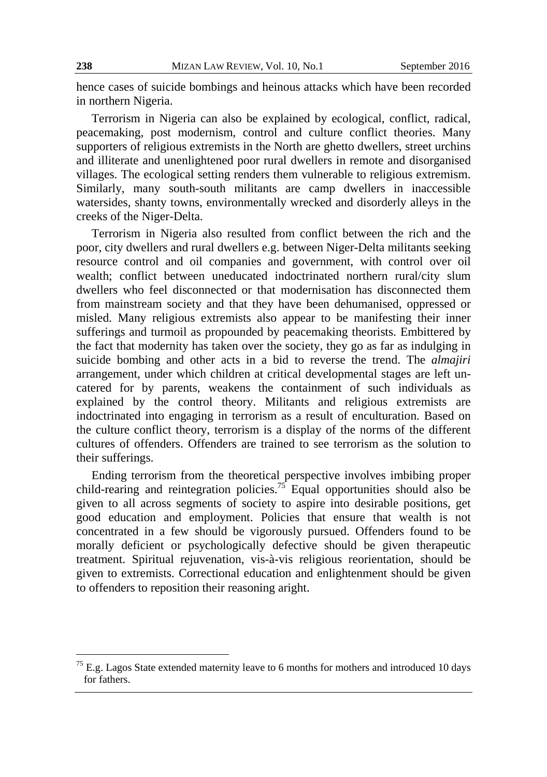hence cases of suicide bombings and heinous attacks which have been recorded in northern Nigeria.

Terrorism in Nigeria can also be explained by ecological, conflict, radical, peacemaking, post modernism, control and culture conflict theories. Many supporters of religious extremists in the North are ghetto dwellers, street urchins and illiterate and unenlightened poor rural dwellers in remote and disorganised villages. The ecological setting renders them vulnerable to religious extremism. Similarly, many south-south militants are camp dwellers in inaccessible watersides, shanty towns, environmentally wrecked and disorderly alleys in the creeks of the Niger-Delta.

Terrorism in Nigeria also resulted from conflict between the rich and the poor, city dwellers and rural dwellers e.g. between Niger-Delta militants seeking resource control and oil companies and government, with control over oil wealth; conflict between uneducated indoctrinated northern rural/city slum dwellers who feel disconnected or that modernisation has disconnected them from mainstream society and that they have been dehumanised, oppressed or misled. Many religious extremists also appear to be manifesting their inner sufferings and turmoil as propounded by peacemaking theorists. Embittered by the fact that modernity has taken over the society, they go as far as indulging in suicide bombing and other acts in a bid to reverse the trend. The *almajiri* arrangement, under which children at critical developmental stages are left uncatered for by parents, weakens the containment of such individuals as explained by the control theory. Militants and religious extremists are indoctrinated into engaging in terrorism as a result of enculturation. Based on the culture conflict theory, terrorism is a display of the norms of the different cultures of offenders. Offenders are trained to see terrorism as the solution to their sufferings.

Ending terrorism from the theoretical perspective involves imbibing proper child-rearing and reintegration policies.<sup>75</sup> Equal opportunities should also be given to all across segments of society to aspire into desirable positions, get good education and employment. Policies that ensure that wealth is not concentrated in a few should be vigorously pursued. Offenders found to be morally deficient or psychologically defective should be given therapeutic treatment. Spiritual rejuvenation, vis-à-vis religious reorientation, should be given to extremists. Correctional education and enlightenment should be given to offenders to reposition their reasoning aright.

<u>.</u>

 $75$  E.g. Lagos State extended maternity leave to 6 months for mothers and introduced 10 days for fathers.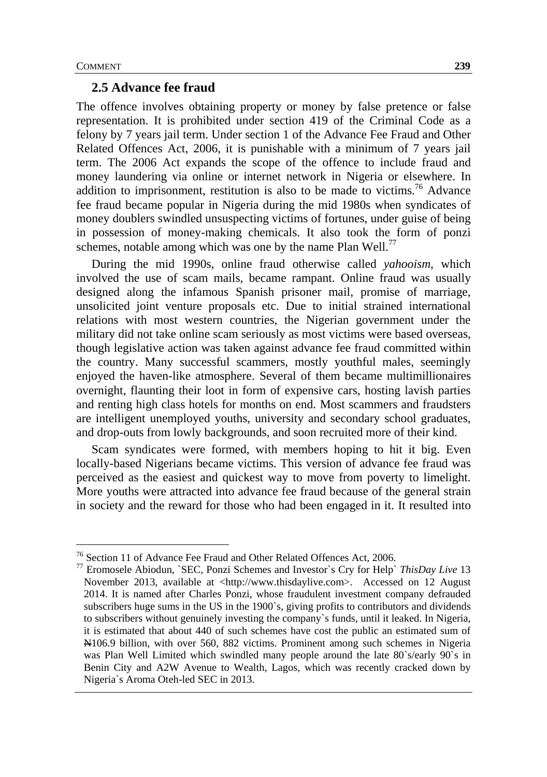<u>.</u>

#### **2.5 Advance fee fraud**

The offence involves obtaining property or money by false pretence or false representation. It is prohibited under section 419 of the Criminal Code as a felony by 7 years jail term. Under section 1 of the Advance Fee Fraud and Other Related Offences Act, 2006, it is punishable with a minimum of 7 years jail term. The 2006 Act expands the scope of the offence to include fraud and money laundering via online or internet network in Nigeria or elsewhere. In addition to imprisonment, restitution is also to be made to victims.<sup>76</sup> Advance fee fraud became popular in Nigeria during the mid 1980s when syndicates of money doublers swindled unsuspecting victims of fortunes, under guise of being in possession of money-making chemicals. It also took the form of ponzi schemes, notable among which was one by the name Plan Well.<sup>77</sup>

During the mid 1990s, online fraud otherwise called *yahooism*, which involved the use of scam mails, became rampant. Online fraud was usually designed along the infamous Spanish prisoner mail, promise of marriage, unsolicited joint venture proposals etc. Due to initial strained international relations with most western countries, the Nigerian government under the military did not take online scam seriously as most victims were based overseas, though legislative action was taken against advance fee fraud committed within the country. Many successful scammers, mostly youthful males, seemingly enjoyed the haven-like atmosphere. Several of them became multimillionaires overnight, flaunting their loot in form of expensive cars, hosting lavish parties and renting high class hotels for months on end. Most scammers and fraudsters are intelligent unemployed youths, university and secondary school graduates, and drop-outs from lowly backgrounds, and soon recruited more of their kind.

Scam syndicates were formed, with members hoping to hit it big. Even locally-based Nigerians became victims. This version of advance fee fraud was perceived as the easiest and quickest way to move from poverty to limelight. More youths were attracted into advance fee fraud because of the general strain in society and the reward for those who had been engaged in it. It resulted into

<sup>&</sup>lt;sup>76</sup> Section 11 of Advance Fee Fraud and Other Related Offences Act, 2006.

<sup>77</sup> Eromosele Abiodun, `SEC, Ponzi Schemes and Investor`s Cry for Help` *ThisDay Live* 13 November 2013, available at <http://www.thisdaylive.com>. Accessed on 12 August 2014. It is named after Charles Ponzi, whose fraudulent investment company defrauded subscribers huge sums in the US in the 1900`s, giving profits to contributors and dividends to subscribers without genuinely investing the company`s funds, until it leaked. In Nigeria, it is estimated that about 440 of such schemes have cost the public an estimated sum of N106.9 billion, with over 560, 882 victims. Prominent among such schemes in Nigeria was Plan Well Limited which swindled many people around the late 80`s/early 90`s in Benin City and A2W Avenue to Wealth, Lagos, which was recently cracked down by Nigeria`s Aroma Oteh-led SEC in 2013.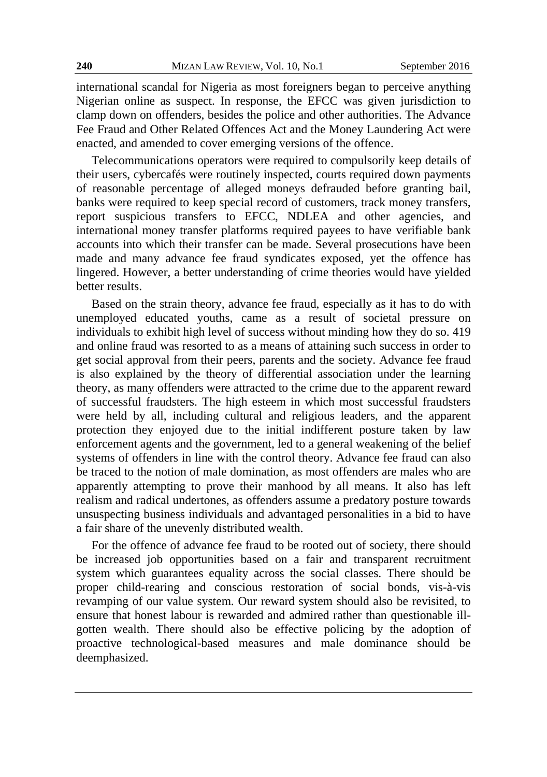international scandal for Nigeria as most foreigners began to perceive anything Nigerian online as suspect. In response, the EFCC was given jurisdiction to clamp down on offenders, besides the police and other authorities. The Advance Fee Fraud and Other Related Offences Act and the Money Laundering Act were enacted, and amended to cover emerging versions of the offence.

Telecommunications operators were required to compulsorily keep details of their users, cybercafés were routinely inspected, courts required down payments of reasonable percentage of alleged moneys defrauded before granting bail, banks were required to keep special record of customers, track money transfers, report suspicious transfers to EFCC, NDLEA and other agencies, and international money transfer platforms required payees to have verifiable bank accounts into which their transfer can be made. Several prosecutions have been made and many advance fee fraud syndicates exposed, yet the offence has lingered. However, a better understanding of crime theories would have yielded better results.

Based on the strain theory, advance fee fraud, especially as it has to do with unemployed educated youths, came as a result of societal pressure on individuals to exhibit high level of success without minding how they do so. 419 and online fraud was resorted to as a means of attaining such success in order to get social approval from their peers, parents and the society. Advance fee fraud is also explained by the theory of differential association under the learning theory, as many offenders were attracted to the crime due to the apparent reward of successful fraudsters. The high esteem in which most successful fraudsters were held by all, including cultural and religious leaders, and the apparent protection they enjoyed due to the initial indifferent posture taken by law enforcement agents and the government, led to a general weakening of the belief systems of offenders in line with the control theory. Advance fee fraud can also be traced to the notion of male domination, as most offenders are males who are apparently attempting to prove their manhood by all means. It also has left realism and radical undertones, as offenders assume a predatory posture towards unsuspecting business individuals and advantaged personalities in a bid to have a fair share of the unevenly distributed wealth.

For the offence of advance fee fraud to be rooted out of society, there should be increased job opportunities based on a fair and transparent recruitment system which guarantees equality across the social classes. There should be proper child-rearing and conscious restoration of social bonds, vis-à-vis revamping of our value system. Our reward system should also be revisited, to ensure that honest labour is rewarded and admired rather than questionable illgotten wealth. There should also be effective policing by the adoption of proactive technological-based measures and male dominance should be deemphasized.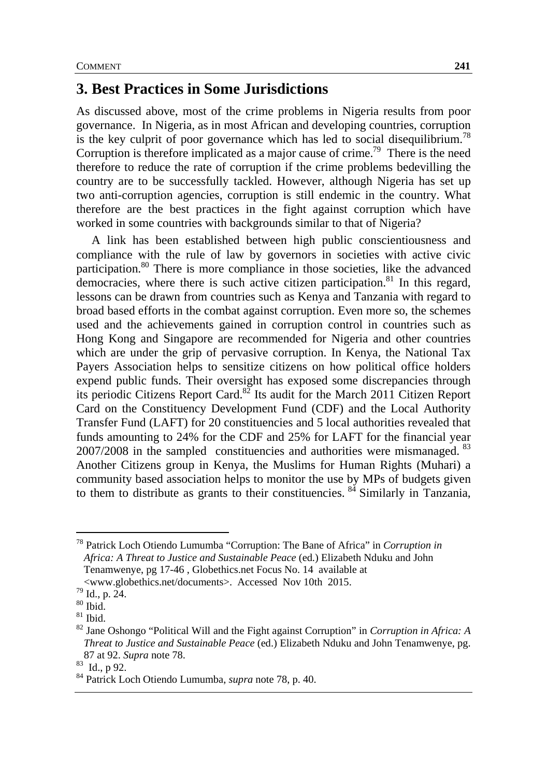## **3. Best Practices in Some Jurisdictions**

As discussed above, most of the crime problems in Nigeria results from poor governance. In Nigeria, as in most African and developing countries, corruption is the key culprit of poor governance which has led to social disequilibrium.<sup>78</sup> Corruption is therefore implicated as a major cause of crime.<sup>79</sup> There is the need therefore to reduce the rate of corruption if the crime problems bedevilling the country are to be successfully tackled. However, although Nigeria has set up two anti-corruption agencies, corruption is still endemic in the country. What therefore are the best practices in the fight against corruption which have worked in some countries with backgrounds similar to that of Nigeria?

A link has been established between high public conscientiousness and compliance with the rule of law by governors in societies with active civic participation.80 There is more compliance in those societies, like the advanced democracies, where there is such active citizen participation.<sup>81</sup> In this regard, lessons can be drawn from countries such as Kenya and Tanzania with regard to broad based efforts in the combat against corruption. Even more so, the schemes used and the achievements gained in corruption control in countries such as Hong Kong and Singapore are recommended for Nigeria and other countries which are under the grip of pervasive corruption. In Kenya, the National Tax Payers Association helps to sensitize citizens on how political office holders expend public funds. Their oversight has exposed some discrepancies through its periodic Citizens Report Card. $82$  Its audit for the March 2011 Citizen Report Card on the Constituency Development Fund (CDF) and the Local Authority Transfer Fund (LAFT) for 20 constituencies and 5 local authorities revealed that funds amounting to 24% for the CDF and 25% for LAFT for the financial year 2007/2008 in the sampled constituencies and authorities were mismanaged. <sup>83</sup> Another Citizens group in Kenya, the Muslims for Human Rights (Muhari) a community based association helps to monitor the use by MPs of budgets given to them to distribute as grants to their constituencies.  $84$  Similarly in Tanzania,

<sup>78</sup> Patrick Loch Otiendo Lumumba "Corruption: The Bane of Africa" in *Corruption in Africa: A Threat to Justice and Sustainable Peace* (ed.) Elizabeth Nduku and John Tenamwenye, pg 17-46 , Globethics.net Focus No. 14 available at

 $\leq$ www.globethics.net/documents>. Accessed Nov 10th 2015. 79 Id., p. 24.

 $80$  Ibid.

 $81$  Ibid.

<sup>82</sup> Jane Oshongo "Political Will and the Fight against Corruption" in *Corruption in Africa: A Threat to Justice and Sustainable Peace* (ed.) Elizabeth Nduku and John Tenamwenye, pg. 87 at 92. *Supra* note 78. 83 Id., p 92.

<sup>84</sup> Patrick Loch Otiendo Lumumba, *supra* note 78, p. 40.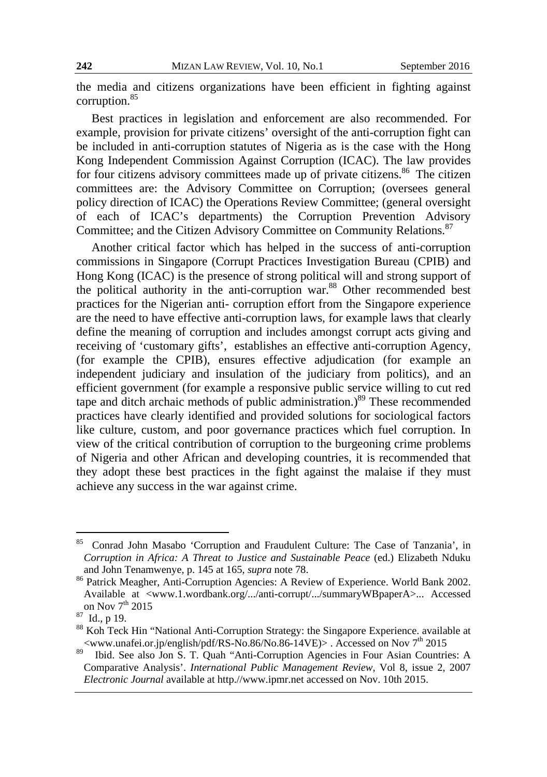the media and citizens organizations have been efficient in fighting against corruption.<sup>85</sup>

Best practices in legislation and enforcement are also recommended. For example, provision for private citizens' oversight of the anti-corruption fight can be included in anti-corruption statutes of Nigeria as is the case with the Hong Kong Independent Commission Against Corruption (ICAC). The law provides for four citizens advisory committees made up of private citizens.<sup>86</sup> The citizen committees are: the Advisory Committee on Corruption; (oversees general policy direction of ICAC) the Operations Review Committee; (general oversight of each of ICAC's departments) the Corruption Prevention Advisory Committee; and the Citizen Advisory Committee on Community Relations.<sup>87</sup>

Another critical factor which has helped in the success of anti-corruption commissions in Singapore (Corrupt Practices Investigation Bureau (CPIB) and Hong Kong (ICAC) is the presence of strong political will and strong support of the political authority in the anti-corruption war.<sup>88</sup> Other recommended best practices for the Nigerian anti- corruption effort from the Singapore experience are the need to have effective anti-corruption laws, for example laws that clearly define the meaning of corruption and includes amongst corrupt acts giving and receiving of 'customary gifts', establishes an effective anti-corruption Agency, (for example the CPIB), ensures effective adjudication (for example an independent judiciary and insulation of the judiciary from politics), and an efficient government (for example a responsive public service willing to cut red tape and ditch archaic methods of public administration.) $89$  These recommended practices have clearly identified and provided solutions for sociological factors like culture, custom, and poor governance practices which fuel corruption. In view of the critical contribution of corruption to the burgeoning crime problems of Nigeria and other African and developing countries, it is recommended that they adopt these best practices in the fight against the malaise if they must achieve any success in the war against crime.

<sup>85</sup> Conrad John Masabo 'Corruption and Fraudulent Culture: The Case of Tanzania', in *Corruption in Africa: A Threat to Justice and Sustainable Peace* (ed.) Elizabeth Nduku

and John Tenamwenye, p. 145 at 165, *supra* note 78.<br><sup>86</sup> Patrick Meagher, Anti-Corruption Agencies: A Review of Experience. World Bank 2002. Available at <www.1.wordbank.org/.../anti-corrupt/.../summaryWBpaperA>... Accessed on Nov  $7^{th}$  2015<br><sup>87</sup> Id., p 19.

<sup>&</sup>lt;sup>88</sup> Koh Teck Hin "National Anti-Corruption Strategy: the Singapore Experience. available at  $\leq$ www.unafei.or.jp/english/pdf/RS-No.86/No.86-14VE)>. Accessed on Nov 7<sup>th</sup> 2015<br><sup>89</sup> Ibid. See also Jon S. T. Quah "Anti-Corruption Agencies in Four Asian Countries: A

Comparative Analysis'. *International Public Management Review*, Vol 8, issue 2, 2007 *Electronic Journal* available at http.//www.ipmr.net accessed on Nov. 10th 2015.